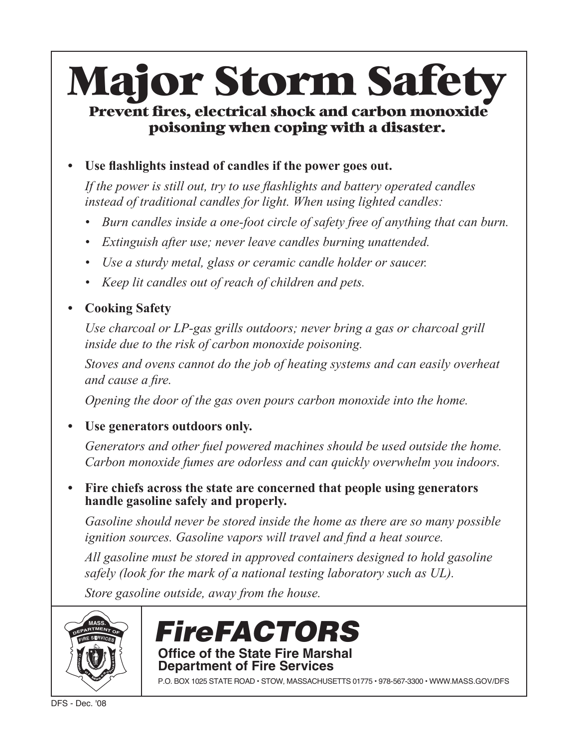# **Major Storm Safety** Prevent fires, electrical shock and carbon monoxide

## poisoning when coping with a disaster.

#### • Use flashlights instead of candles if the power goes out.

If the power is still out, try to use flashlights and battery operated candles instead of traditional candles for light. When using lighted candles:

- Burn candles inside a one-foot circle of safety free of anything that can burn.
- Extinguish after use; never leave candles burning unattended.
- Use a sturdy metal, glass or ceramic candle holder or saucer.
- Keep lit candles out of reach of children and pets.

### • Cooking Safety

Use charcoal or LP-gas grills outdoors; never bring a gas or charcoal grill inside due to the risk of carbon monoxide poisoning.

Stoves and ovens cannot do the job of heating systems and can easily overheat and cause a fire.

Opening the door of the gas oven pours carbon monoxide into the home.

#### • Use generators outdoors only.

Generators and other fuel powered machines should be used outside the home. Carbon monoxide fumes are odorless and can quickly overwhelm you indoors.

• Fire chiefs across the state are concerned that people using generators handle gasoline safely and properly.

Gasoline should never be stored inside the home as there are so many possible ignition sources. Gasoline vapors will travel and find a heat source.

All gasoline must be stored in approved containers designed to hold gasoline safely (look for the mark of a national testing laboratory such as UL).

Store gasoline outside, away from the house.





P.O. BOX 1025 STATE ROAD · STOW, MASSACHUSETTS 01775 · 978-567-3300 · WWW.MASS.GOV/DFS